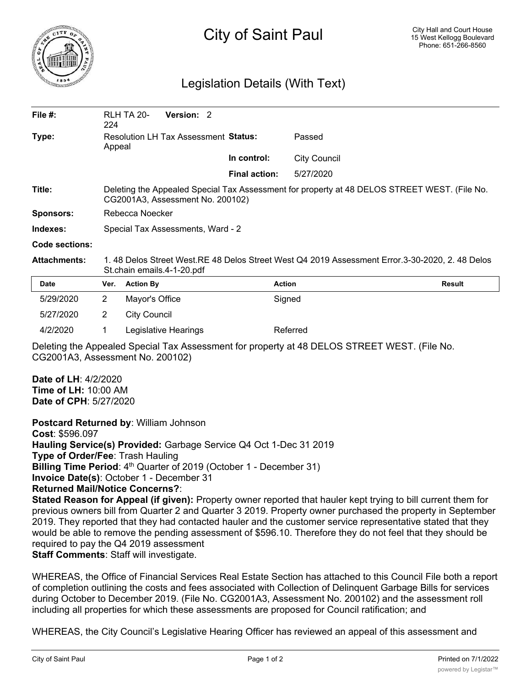

## City of Saint Paul

## Legislation Details (With Text)

| File #:             | 224                                                                                                                              | <b>RLH TA 20-</b>   | <b>Version: 2</b>    |  |                      |                     |               |
|---------------------|----------------------------------------------------------------------------------------------------------------------------------|---------------------|----------------------|--|----------------------|---------------------|---------------|
| Type:               | Resolution LH Tax Assessment Status:<br>Appeal                                                                                   |                     |                      |  | Passed               |                     |               |
|                     |                                                                                                                                  |                     |                      |  | In control:          | <b>City Council</b> |               |
|                     |                                                                                                                                  |                     |                      |  | <b>Final action:</b> | 5/27/2020           |               |
| Title:              | Deleting the Appealed Special Tax Assessment for property at 48 DELOS STREET WEST. (File No.<br>CG2001A3, Assessment No. 200102) |                     |                      |  |                      |                     |               |
| <b>Sponsors:</b>    | Rebecca Noecker                                                                                                                  |                     |                      |  |                      |                     |               |
| Indexes:            | Special Tax Assessments, Ward - 2                                                                                                |                     |                      |  |                      |                     |               |
| Code sections:      |                                                                                                                                  |                     |                      |  |                      |                     |               |
| <b>Attachments:</b> | 1.48 Delos Street West.RE 48 Delos Street West Q4 2019 Assessment Error.3-30-2020, 2.48 Delos<br>St.chain emails.4-1-20.pdf      |                     |                      |  |                      |                     |               |
| <b>Date</b>         | Ver.                                                                                                                             | <b>Action By</b>    |                      |  |                      | <b>Action</b>       | <b>Result</b> |
| 5/29/2020           | $\overline{2}$                                                                                                                   | Mayor's Office      |                      |  |                      | Signed              |               |
| 5/27/2020           | $\overline{2}$                                                                                                                   | <b>City Council</b> |                      |  |                      |                     |               |
| 4/2/2020            |                                                                                                                                  |                     | Legislative Hearings |  |                      | Referred            |               |

Deleting the Appealed Special Tax Assessment for property at 48 DELOS STREET WEST. (File No. CG2001A3, Assessment No. 200102)

**Date of LH**: 4/2/2020 **Time of LH:** 10:00 AM **Date of CPH**: 5/27/2020

**Postcard Returned by**: William Johnson

**Cost**: \$596.097 **Hauling Service(s) Provided:** Garbage Service Q4 Oct 1-Dec 31 2019

**Type of Order/Fee**: Trash Hauling

**Billing Time Period:** 4<sup>th</sup> Quarter of 2019 (October 1 - December 31)

**Invoice Date(s)**: October 1 - December 31

**Returned Mail/Notice Concerns?**:

**Stated Reason for Appeal (if given):** Property owner reported that hauler kept trying to bill current them for previous owners bill from Quarter 2 and Quarter 3 2019. Property owner purchased the property in September 2019. They reported that they had contacted hauler and the customer service representative stated that they would be able to remove the pending assessment of \$596.10. Therefore they do not feel that they should be required to pay the Q4 2019 assessment **Staff Comments**: Staff will investigate.

WHEREAS, the Office of Financial Services Real Estate Section has attached to this Council File both a report of completion outlining the costs and fees associated with Collection of Delinquent Garbage Bills for services during October to December 2019. (File No. CG2001A3, Assessment No. 200102) and the assessment roll including all properties for which these assessments are proposed for Council ratification; and

WHEREAS, the City Council's Legislative Hearing Officer has reviewed an appeal of this assessment and